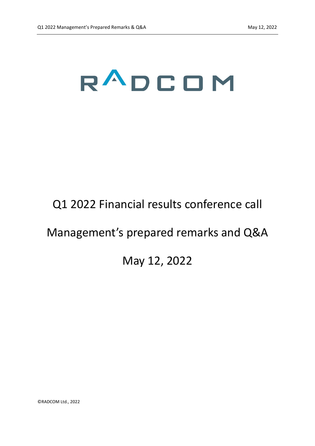## RADCOM

## Q1 2022 Financial results conference call

## Management's prepared remarks and Q&A

## May 12, 2022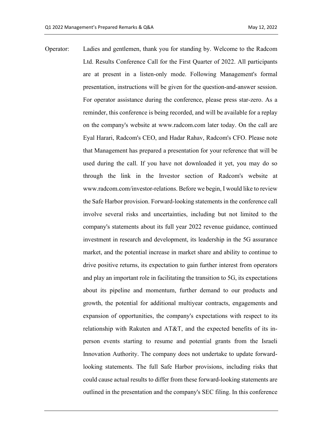Operator: Ladies and gentlemen, thank you for standing by. Welcome to the Radcom Ltd. Results Conference Call for the First Quarter of 2022. All participants are at present in a listen-only mode. Following Management's formal presentation, instructions will be given for the question-and-answer session. For operator assistance during the conference, please press star-zero. As a reminder, this conference is being recorded, and will be available for a replay on the company's website at www.radcom.com later today. On the call are Eyal Harari, Radcom's CEO, and Hadar Rahav, Radcom's CFO. Please note that Management has prepared a presentation for your reference that will be used during the call. If you have not downloaded it yet, you may do so through the link in the Investor section of Radcom's website at www.radcom.com/investor-relations. Before we begin, I would like to review the Safe Harbor provision. Forward-looking statements in the conference call involve several risks and uncertainties, including but not limited to the company's statements about its full year 2022 revenue guidance, continued investment in research and development, its leadership in the 5G assurance market, and the potential increase in market share and ability to continue to drive positive returns, its expectation to gain further interest from operators and play an important role in facilitating the transition to 5G, its expectations about its pipeline and momentum, further demand to our products and growth, the potential for additional multiyear contracts, engagements and expansion of opportunities, the company's expectations with respect to its relationship with Rakuten and AT&T, and the expected benefits of its inperson events starting to resume and potential grants from the Israeli Innovation Authority. The company does not undertake to update forwardlooking statements. The full Safe Harbor provisions, including risks that could cause actual results to differ from these forward-looking statements are outlined in the presentation and the company's SEC filing. In this conference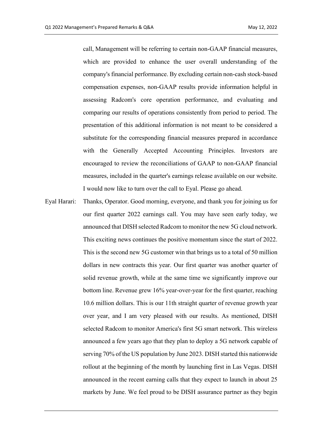call, Management will be referring to certain non-GAAP financial measures, which are provided to enhance the user overall understanding of the company's financial performance. By excluding certain non-cash stock-based compensation expenses, non-GAAP results provide information helpful in assessing Radcom's core operation performance, and evaluating and comparing our results of operations consistently from period to period. The presentation of this additional information is not meant to be considered a substitute for the corresponding financial measures prepared in accordance with the Generally Accepted Accounting Principles. Investors are encouraged to review the reconciliations of GAAP to non-GAAP financial measures, included in the quarter's earnings release available on our website. I would now like to turn over the call to Eyal. Please go ahead.

Eyal Harari: Thanks, Operator. Good morning, everyone, and thank you for joining us for our first quarter 2022 earnings call. You may have seen early today, we announced that DISH selected Radcom to monitor the new 5G cloud network. This exciting news continues the positive momentum since the start of 2022. This is the second new 5G customer win that brings us to a total of 50 million dollars in new contracts this year. Our first quarter was another quarter of solid revenue growth, while at the same time we significantly improve our bottom line. Revenue grew 16% year-over-year for the first quarter, reaching 10.6 million dollars. This is our 11th straight quarter of revenue growth year over year, and I am very pleased with our results. As mentioned, DISH selected Radcom to monitor America's first 5G smart network. This wireless announced a few years ago that they plan to deploy a 5G network capable of serving 70% of the US population by June 2023. DISH started this nationwide rollout at the beginning of the month by launching first in Las Vegas. DISH announced in the recent earning calls that they expect to launch in about 25 markets by June. We feel proud to be DISH assurance partner as they begin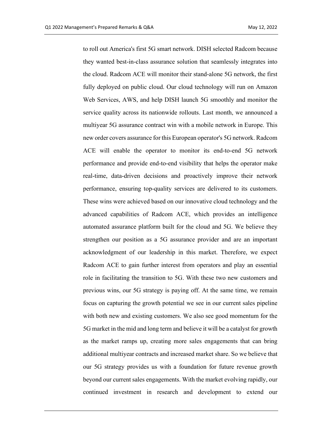to roll out America's first 5G smart network. DISH selected Radcom because they wanted best-in-class assurance solution that seamlessly integrates into the cloud. Radcom ACE will monitor their stand-alone 5G network, the first fully deployed on public cloud. Our cloud technology will run on Amazon Web Services, AWS, and help DISH launch 5G smoothly and monitor the service quality across its nationwide rollouts. Last month, we announced a multiyear 5G assurance contract win with a mobile network in Europe. This new order covers assurance for this European operator's 5G network. Radcom ACE will enable the operator to monitor its end-to-end 5G network performance and provide end-to-end visibility that helps the operator make real-time, data-driven decisions and proactively improve their network performance, ensuring top-quality services are delivered to its customers. These wins were achieved based on our innovative cloud technology and the advanced capabilities of Radcom ACE, which provides an intelligence automated assurance platform built for the cloud and 5G. We believe they strengthen our position as a 5G assurance provider and are an important acknowledgment of our leadership in this market. Therefore, we expect Radcom ACE to gain further interest from operators and play an essential role in facilitating the transition to 5G. With these two new customers and previous wins, our 5G strategy is paying off. At the same time, we remain focus on capturing the growth potential we see in our current sales pipeline with both new and existing customers. We also see good momentum for the 5G market in the mid and long term and believe it will be a catalyst for growth as the market ramps up, creating more sales engagements that can bring additional multiyear contracts and increased market share. So we believe that our 5G strategy provides us with a foundation for future revenue growth beyond our current sales engagements. With the market evolving rapidly, our continued investment in research and development to extend our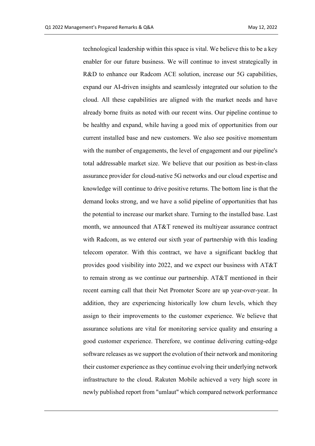technological leadership within this space is vital. We believe this to be a key enabler for our future business. We will continue to invest strategically in R&D to enhance our Radcom ACE solution, increase our 5G capabilities, expand our AI-driven insights and seamlessly integrated our solution to the cloud. All these capabilities are aligned with the market needs and have already borne fruits as noted with our recent wins. Our pipeline continue to be healthy and expand, while having a good mix of opportunities from our current installed base and new customers. We also see positive momentum with the number of engagements, the level of engagement and our pipeline's total addressable market size. We believe that our position as best-in-class assurance provider for cloud-native 5G networks and our cloud expertise and knowledge will continue to drive positive returns. The bottom line is that the demand looks strong, and we have a solid pipeline of opportunities that has the potential to increase our market share. Turning to the installed base. Last month, we announced that AT&T renewed its multiyear assurance contract with Radcom, as we entered our sixth year of partnership with this leading telecom operator. With this contract, we have a significant backlog that provides good visibility into 2022, and we expect our business with AT&T to remain strong as we continue our partnership. AT&T mentioned in their recent earning call that their Net Promoter Score are up year-over-year. In addition, they are experiencing historically low churn levels, which they assign to their improvements to the customer experience. We believe that assurance solutions are vital for monitoring service quality and ensuring a good customer experience. Therefore, we continue delivering cutting-edge software releases as we support the evolution of their network and monitoring their customer experience as they continue evolving their underlying network infrastructure to the cloud. Rakuten Mobile achieved a very high score in newly published report from "umlaut" which compared network performance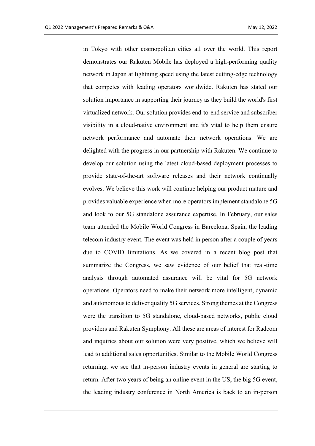in Tokyo with other cosmopolitan cities all over the world. This report demonstrates our Rakuten Mobile has deployed a high-performing quality network in Japan at lightning speed using the latest cutting-edge technology that competes with leading operators worldwide. Rakuten has stated our solution importance in supporting their journey as they build the world's first virtualized network. Our solution provides end-to-end service and subscriber visibility in a cloud-native environment and it's vital to help them ensure network performance and automate their network operations. We are delighted with the progress in our partnership with Rakuten. We continue to develop our solution using the latest cloud-based deployment processes to provide state-of-the-art software releases and their network continually evolves. We believe this work will continue helping our product mature and provides valuable experience when more operators implement standalone 5G and look to our 5G standalone assurance expertise. In February, our sales team attended the Mobile World Congress in Barcelona, Spain, the leading telecom industry event. The event was held in person after a couple of years due to COVID limitations. As we covered in a recent blog post that summarize the Congress, we saw evidence of our belief that real-time analysis through automated assurance will be vital for 5G network operations. Operators need to make their network more intelligent, dynamic and autonomous to deliver quality 5G services. Strong themes at the Congress were the transition to 5G standalone, cloud-based networks, public cloud providers and Rakuten Symphony. All these are areas of interest for Radcom and inquiries about our solution were very positive, which we believe will lead to additional sales opportunities. Similar to the Mobile World Congress returning, we see that in-person industry events in general are starting to return. After two years of being an online event in the US, the big 5G event, the leading industry conference in North America is back to an in-person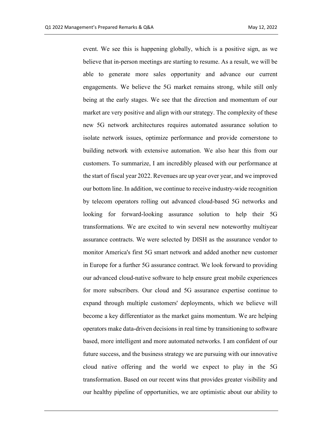event. We see this is happening globally, which is a positive sign, as we believe that in-person meetings are starting to resume. As a result, we will be able to generate more sales opportunity and advance our current engagements. We believe the 5G market remains strong, while still only being at the early stages. We see that the direction and momentum of our market are very positive and align with our strategy. The complexity of these new 5G network architectures requires automated assurance solution to isolate network issues, optimize performance and provide cornerstone to building network with extensive automation. We also hear this from our customers. To summarize, I am incredibly pleased with our performance at the start of fiscal year 2022. Revenues are up year over year, and we improved our bottom line. In addition, we continue to receive industry-wide recognition by telecom operators rolling out advanced cloud-based 5G networks and looking for forward-looking assurance solution to help their 5G transformations. We are excited to win several new noteworthy multiyear assurance contracts. We were selected by DISH as the assurance vendor to monitor America's first 5G smart network and added another new customer in Europe for a further 5G assurance contract. We look forward to providing our advanced cloud-native software to help ensure great mobile experiences for more subscribers. Our cloud and 5G assurance expertise continue to expand through multiple customers' deployments, which we believe will become a key differentiator as the market gains momentum. We are helping operators make data-driven decisions in real time by transitioning to software based, more intelligent and more automated networks. I am confident of our future success, and the business strategy we are pursuing with our innovative cloud native offering and the world we expect to play in the 5G transformation. Based on our recent wins that provides greater visibility and our healthy pipeline of opportunities, we are optimistic about our ability to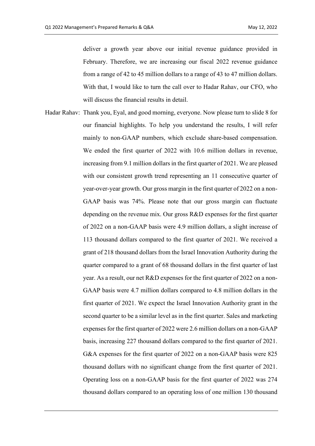deliver a growth year above our initial revenue guidance provided in February. Therefore, we are increasing our fiscal 2022 revenue guidance from a range of 42 to 45 million dollars to a range of 43 to 47 million dollars. With that, I would like to turn the call over to Hadar Rahav, our CFO, who will discuss the financial results in detail.

Hadar Rahav: Thank you, Eyal, and good morning, everyone. Now please turn to slide 8 for our financial highlights. To help you understand the results, I will refer mainly to non-GAAP numbers, which exclude share-based compensation. We ended the first quarter of 2022 with 10.6 million dollars in revenue, increasing from 9.1 million dollars in the first quarter of 2021. We are pleased with our consistent growth trend representing an 11 consecutive quarter of year-over-year growth. Our gross margin in the first quarter of 2022 on a non-GAAP basis was 74%. Please note that our gross margin can fluctuate depending on the revenue mix. Our gross R&D expenses for the first quarter of 2022 on a non-GAAP basis were 4.9 million dollars, a slight increase of 113 thousand dollars compared to the first quarter of 2021. We received a grant of 218 thousand dollars from the Israel Innovation Authority during the quarter compared to a grant of 68 thousand dollars in the first quarter of last year. As a result, our net R&D expenses for the first quarter of 2022 on a non-GAAP basis were 4.7 million dollars compared to 4.8 million dollars in the first quarter of 2021. We expect the Israel Innovation Authority grant in the second quarter to be a similar level as in the first quarter. Sales and marketing expenses for the first quarter of 2022 were 2.6 million dollars on a non-GAAP basis, increasing 227 thousand dollars compared to the first quarter of 2021. G&A expenses for the first quarter of 2022 on a non-GAAP basis were 825 thousand dollars with no significant change from the first quarter of 2021. Operating loss on a non-GAAP basis for the first quarter of 2022 was 274 thousand dollars compared to an operating loss of one million 130 thousand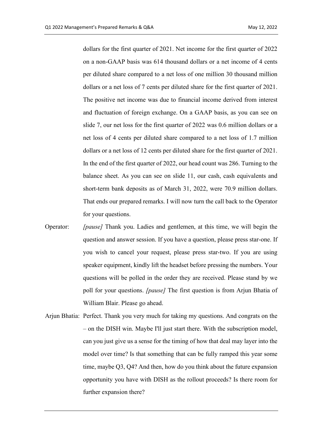dollars for the first quarter of 2021. Net income for the first quarter of 2022 on a non-GAAP basis was 614 thousand dollars or a net income of 4 cents per diluted share compared to a net loss of one million 30 thousand million dollars or a net loss of 7 cents per diluted share for the first quarter of 2021. The positive net income was due to financial income derived from interest and fluctuation of foreign exchange. On a GAAP basis, as you can see on slide 7, our net loss for the first quarter of 2022 was 0.6 million dollars or a net loss of 4 cents per diluted share compared to a net loss of 1.7 million dollars or a net loss of 12 cents per diluted share for the first quarter of 2021. In the end of the first quarter of 2022, our head count was 286. Turning to the balance sheet. As you can see on slide 11, our cash, cash equivalents and short-term bank deposits as of March 31, 2022, were 70.9 million dollars. That ends our prepared remarks. I will now turn the call back to the Operator for your questions.

- Operator: *[pause]* Thank you. Ladies and gentlemen, at this time, we will begin the question and answer session. If you have a question, please press star-one. If you wish to cancel your request, please press star-two. If you are using speaker equipment, kindly lift the headset before pressing the numbers. Your questions will be polled in the order they are received. Please stand by we poll for your questions. *[pause]* The first question is from Arjun Bhatia of William Blair. Please go ahead.
- Arjun Bhatia: Perfect. Thank you very much for taking my questions. And congrats on the – on the DISH win. Maybe I'll just start there. With the subscription model, can you just give us a sense for the timing of how that deal may layer into the model over time? Is that something that can be fully ramped this year some time, maybe Q3, Q4? And then, how do you think about the future expansion opportunity you have with DISH as the rollout proceeds? Is there room for further expansion there?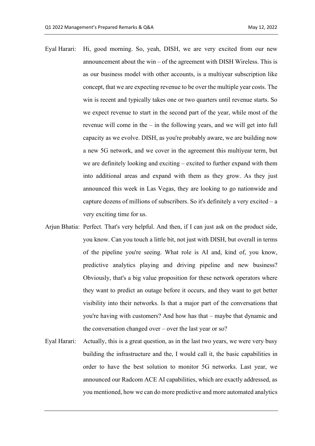- Eyal Harari: Hi, good morning. So, yeah, DISH, we are very excited from our new announcement about the win – of the agreement with DISH Wireless. This is as our business model with other accounts, is a multiyear subscription like concept, that we are expecting revenue to be over the multiple year costs. The win is recent and typically takes one or two quarters until revenue starts. So we expect revenue to start in the second part of the year, while most of the revenue will come in the – in the following years, and we will get into full capacity as we evolve. DISH, as you're probably aware, we are building now a new 5G network, and we cover in the agreement this multiyear term, but we are definitely looking and exciting – excited to further expand with them into additional areas and expand with them as they grow. As they just announced this week in Las Vegas, they are looking to go nationwide and capture dozens of millions of subscribers. So it's definitely a very excited – a very exciting time for us.
- Arjun Bhatia: Perfect. That's very helpful. And then, if I can just ask on the product side, you know. Can you touch a little bit, not just with DISH, but overall in terms of the pipeline you're seeing. What role is AI and, kind of, you know, predictive analytics playing and driving pipeline and new business? Obviously, that's a big value proposition for these network operators where they want to predict an outage before it occurs, and they want to get better visibility into their networks. Is that a major part of the conversations that you're having with customers? And how has that – maybe that dynamic and the conversation changed over – over the last year or so?
- Eyal Harari: Actually, this is a great question, as in the last two years, we were very busy building the infrastructure and the, I would call it, the basic capabilities in order to have the best solution to monitor 5G networks. Last year, we announced our Radcom ACE AI capabilities, which are exactly addressed, as you mentioned, how we can do more predictive and more automated analytics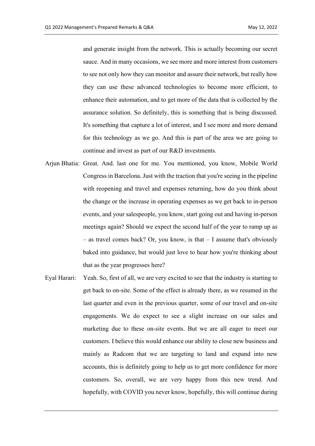and generate insight from the network. This is actually becoming our secret sauce. And in many occasions, we see more and more interest from customers to see not only how they can monitor and assure their network, but really how they can use these advanced technologies to become more efficient, to enhance their automation, and to get more of the data that is collected by the assurance solution. So definitely, this is something that is being discussed. It's something that capture a lot of interest, and I see more and more demand for this technology as we go. And this is part of the area we are going to continue and invest as part of our R&D investments.

- Arjun Bhatia: Great. And. last one for me. You mentioned, you know, Mobile World Congress in Barcelona. Just with the traction that you're seeing in the pipeline with reopening and travel and expenses returning, how do you think about the change or the increase in operating expenses as we get back to in-person events, and your salespeople, you know, start going out and having in-person meetings again? Should we expect the second half of the year to ramp up as – as travel comes back? Or, you know, is that – I assume that's obviously baked into guidance, but would just love to hear how you're thinking about that as the year progresses here?
- Eyal Harari: Yeah. So, first of all, we are very excited to see that the industry is starting to get back to on-site. Some of the effect is already there, as we resumed in the last quarter and even in the previous quarter, some of our travel and on-site engagements. We do expect to see a slight increase on our sales and marketing due to these on-site events. But we are all eager to meet our customers. I believe this would enhance our ability to close new business and mainly as Radcom that we are targeting to land and expand into new accounts, this is definitely going to help us to get more confidence for more customers. So, overall, we are very happy from this new trend. And hopefully, with COVID you never know, hopefully, this will continue during